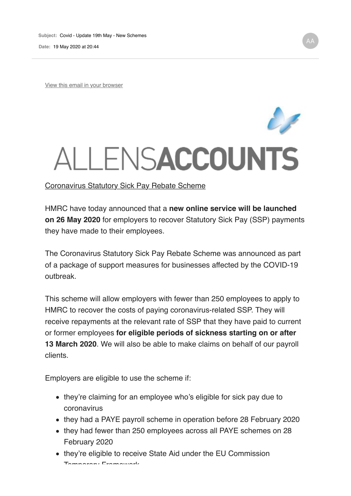View this email in your browser

## ALLENSACCOUNTS

Coronavirus Statutory Sick Pay Rebate Scheme

HMRC have today announced that a **new online service will be launched on 26 May 2020** for employers to recover Statutory Sick Pay (SSP) payments they have made to their employees.

The Coronavirus Statutory Sick Pay Rebate Scheme was announced as part of a package of support measures for businesses affected by the COVID-19 outbreak.

This scheme will allow employers with fewer than 250 employees to apply to HMRC to recover the costs of paying coronavirus-related SSP. They will receive repayments at the relevant rate of SSP that they have paid to current or former employees **for eligible periods of sickness starting on or after 13 March 2020**. We will also be able to make claims on behalf of our payroll clients.

Employers are eligible to use the scheme if:

- they're claiming for an employee who's eligible for sick pay due to coronavirus
- they had a PAYE payroll scheme in operation before 28 February 2020
- they had fewer than 250 employees across all PAYE schemes on 28 February 2020
- they're eligible to receive State Aid under the EU Commission Temporary Framework.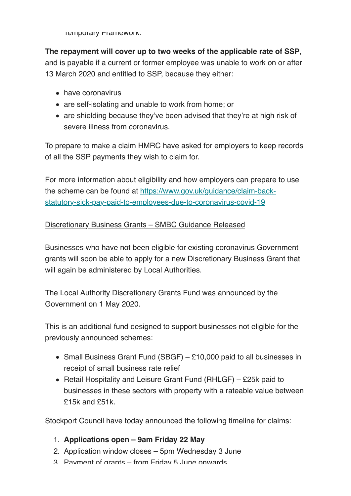Temporary Framework.

**The repayment will cover up to two weeks of the applicable rate of SSP**, and is payable if a current or former employee was unable to work on or after

13 March 2020 and entitled to SSP, because they either:

- have coronavirus
- are self-isolating and unable to work from home; or
- are shielding because they've been advised that they're at high risk of severe illness from coronavirus.

To prepare to make a claim HMRC have asked for employers to keep records of all the SSP payments they wish to claim for.

For more information about eligibility and how employers can prepare to use the scheme can be found at https://www.gov.uk/guidance/claim-backstatutory-sick-pay-paid-to-employees-due-to-coronavirus-covid-19

## Discretionary Business Grants – SMBC Guidance Released

Businesses who have not been eligible for existing coronavirus Government grants will soon be able to apply for a new Discretionary Business Grant that will again be administered by Local Authorities.

The Local Authority Discretionary Grants Fund was announced by the Government on 1 May 2020.

This is an additional fund designed to support businesses not eligible for the previously announced schemes:

- Small Business Grant Fund (SBGF) £10,000 paid to all businesses in receipt of small business rate relief
- Retail Hospitality and Leisure Grant Fund (RHLGF) £25k paid to businesses in these sectors with property with a rateable value between £15k and £51k.

Stockport Council have today announced the following timeline for claims:

- 1. **Applications open 9am Friday 22 May**
- 2. Application window closes 5pm Wednesday 3 June
- 3. Payment of grants from Friday 5 June onwards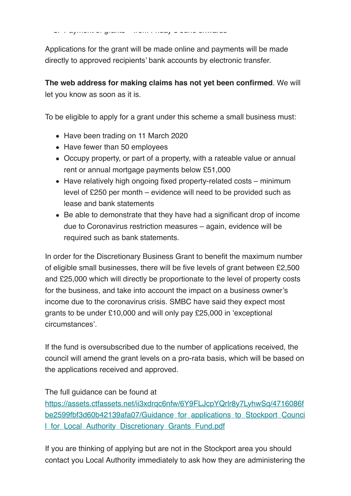3. Payment of grants – from Friday 5 June onwards

Applications for the grant will be made online and payments will be made directly to approved recipients' bank accounts by electronic transfer.

**The web address for making claims has not yet been confirmed**. We will let you know as soon as it is.

To be eligible to apply for a grant under this scheme a small business must:

- Have been trading on 11 March 2020
- Have fewer than 50 employees
- Occupy property, or part of a property, with a rateable value or annual rent or annual mortgage payments below £51,000
- Have relatively high ongoing fixed property-related costs minimum level of £250 per month – evidence will need to be provided such as lease and bank statements
- Be able to demonstrate that they have had a significant drop of income due to Coronavirus restriction measures – again, evidence will be required such as bank statements.

In order for the Discretionary Business Grant to benefit the maximum number of eligible small businesses, there will be five levels of grant between £2,500 and £25,000 which will directly be proportionate to the level of property costs for the business, and take into account the impact on a business owner's income due to the coronavirus crisis. SMBC have said they expect most grants to be under £10,000 and will only pay £25,000 in 'exceptional circumstances'.

If the fund is oversubscribed due to the number of applications received, the council will amend the grant levels on a pro-rata basis, which will be based on the applications received and approved.

The full guidance can be found at

https://assets.ctfassets.net/ii3xdrqc6nfw/6Y9FLJcpYQrlr8y7LyhwSq/4716086f be2599fbf3d60b42139afa07/Guidance\_for\_applications\_to\_Stockport\_Counci **I for Local Authority Discretionary Grants Fund.pdf** 

If you are thinking of applying but are not in the Stockport area you should contact you Local Authority immediately to ask how they are administering the